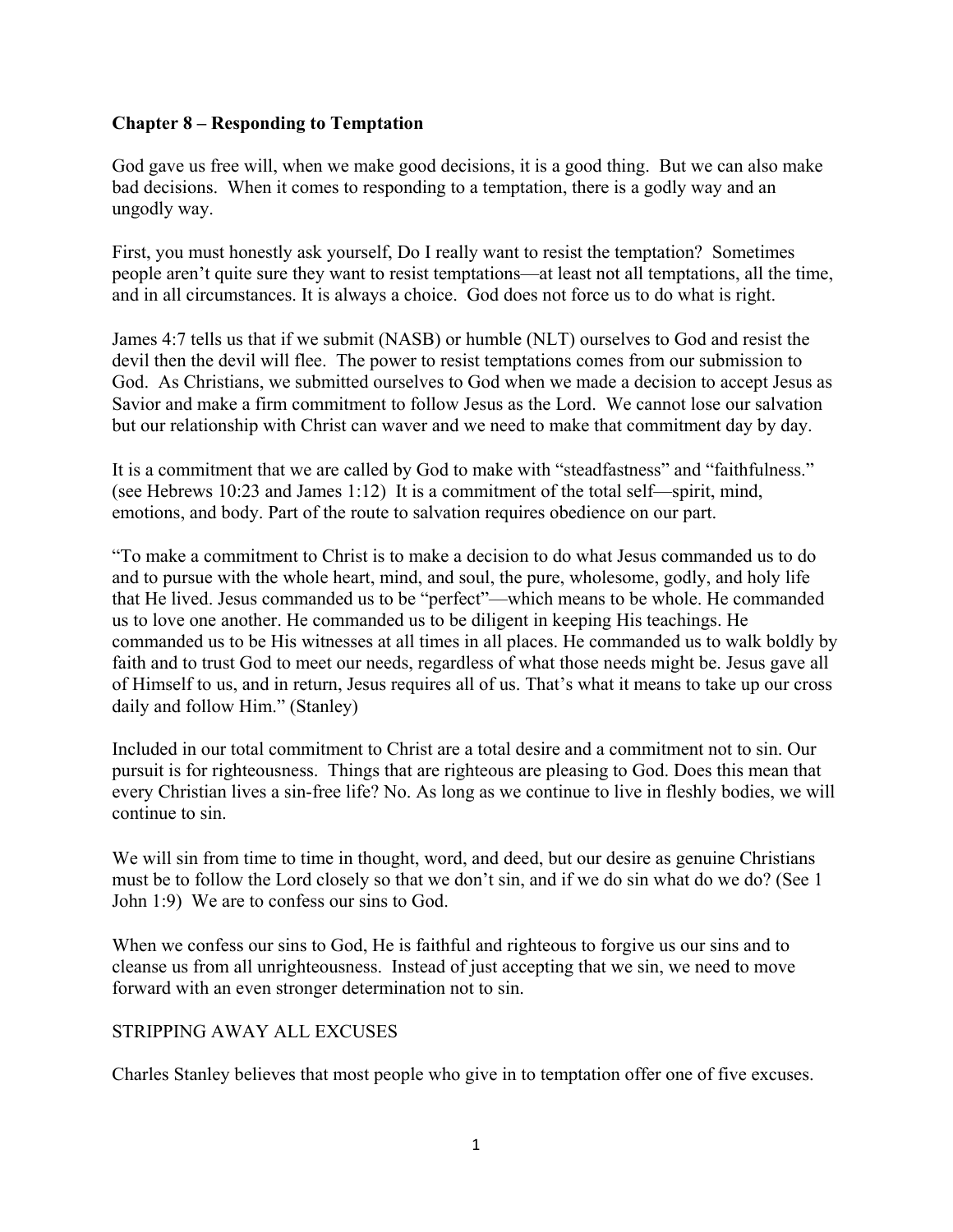### **Chapter 8 – Responding to Temptation**

God gave us free will, when we make good decisions, it is a good thing. But we can also make bad decisions. When it comes to responding to a temptation, there is a godly way and an ungodly way.

First, you must honestly ask yourself, Do I really want to resist the temptation? Sometimes people aren't quite sure they want to resist temptations—at least not all temptations, all the time, and in all circumstances. It is always a choice. God does not force us to do what is right.

James 4:7 tells us that if we submit (NASB) or humble (NLT) ourselves to God and resist the devil then the devil will flee. The power to resist temptations comes from our submission to God. As Christians, we submitted ourselves to God when we made a decision to accept Jesus as Savior and make a firm commitment to follow Jesus as the Lord. We cannot lose our salvation but our relationship with Christ can waver and we need to make that commitment day by day.

It is a commitment that we are called by God to make with "steadfastness" and "faithfulness." (see Hebrews 10:23 and James 1:12) It is a commitment of the total self—spirit, mind, emotions, and body. Part of the route to salvation requires obedience on our part.

"To make a commitment to Christ is to make a decision to do what Jesus commanded us to do and to pursue with the whole heart, mind, and soul, the pure, wholesome, godly, and holy life that He lived. Jesus commanded us to be "perfect"—which means to be whole. He commanded us to love one another. He commanded us to be diligent in keeping His teachings. He commanded us to be His witnesses at all times in all places. He commanded us to walk boldly by faith and to trust God to meet our needs, regardless of what those needs might be. Jesus gave all of Himself to us, and in return, Jesus requires all of us. That's what it means to take up our cross daily and follow Him." (Stanley)

Included in our total commitment to Christ are a total desire and a commitment not to sin. Our pursuit is for righteousness. Things that are righteous are pleasing to God. Does this mean that every Christian lives a sin-free life? No. As long as we continue to live in fleshly bodies, we will continue to sin.

We will sin from time to time in thought, word, and deed, but our desire as genuine Christians must be to follow the Lord closely so that we don't sin, and if we do sin what do we do? (See 1 John 1:9) We are to confess our sins to God.

When we confess our sins to God, He is faithful and righteous to forgive us our sins and to cleanse us from all unrighteousness. Instead of just accepting that we sin, we need to move forward with an even stronger determination not to sin.

# STRIPPING AWAY ALL EXCUSES

Charles Stanley believes that most people who give in to temptation offer one of five excuses.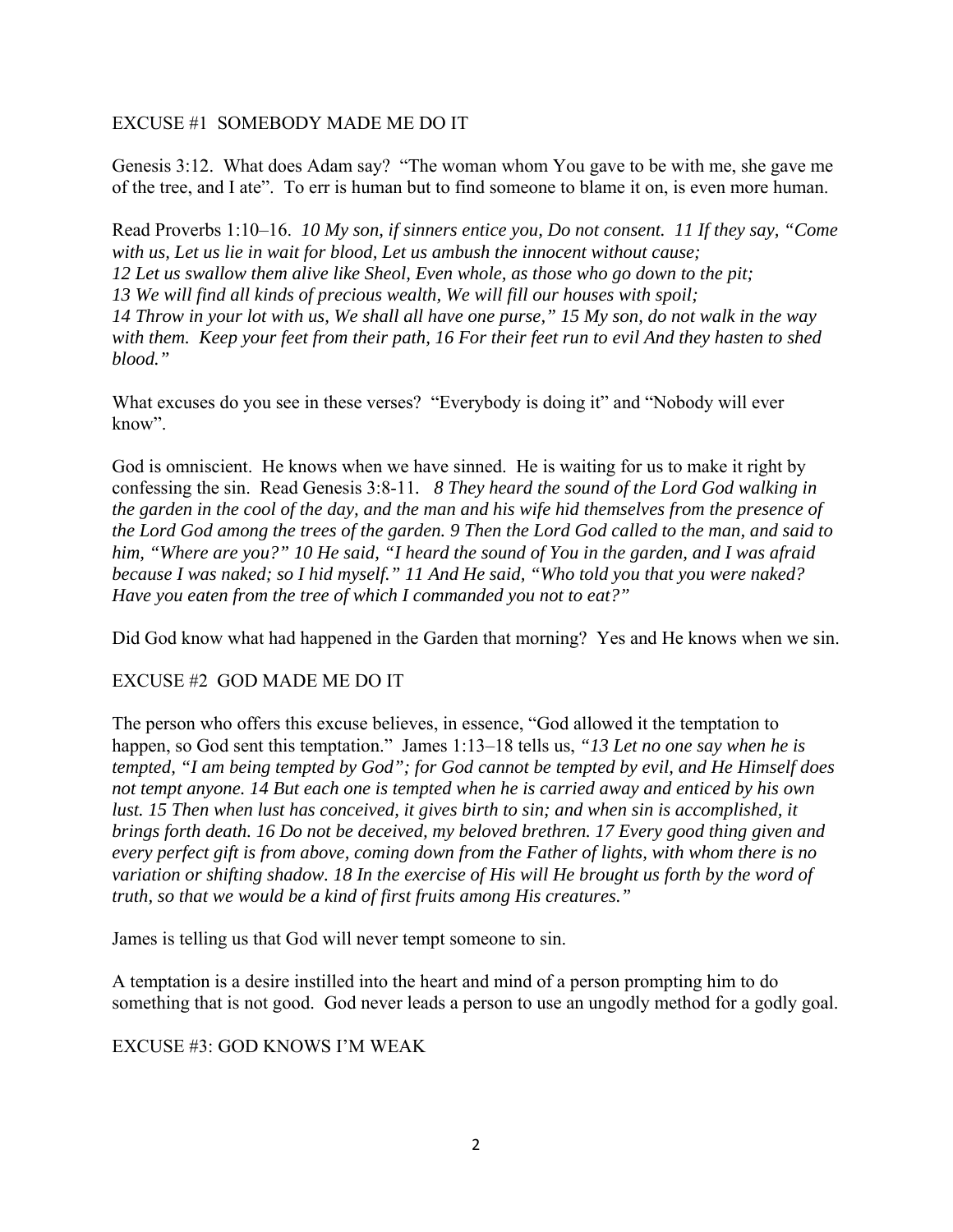EXCUSE #1 SOMEBODY MADE ME DO IT

Genesis 3:12. What does Adam say? "The woman whom You gave to be with me, she gave me of the tree, and I ate". To err is human but to find someone to blame it on, is even more human.

Read Proverbs 1:10–16. *10 My son, if sinners entice you, Do not consent. 11 If they say, "Come with us, Let us lie in wait for blood, Let us ambush the innocent without cause; 12 Let us swallow them alive like Sheol, Even whole, as those who go down to the pit; 13 We will find all kinds of precious wealth, We will fill our houses with spoil; 14 Throw in your lot with us, We shall all have one purse," 15 My son, do not walk in the way with them. Keep your feet from their path, 16 For their feet run to evil And they hasten to shed blood."* 

What excuses do you see in these verses? "Everybody is doing it" and "Nobody will ever know".

God is omniscient. He knows when we have sinned. He is waiting for us to make it right by confessing the sin. Read Genesis 3:8-11*. 8 They heard the sound of the Lord God walking in the garden in the cool of the day, and the man and his wife hid themselves from the presence of the Lord God among the trees of the garden. 9 Then the Lord God called to the man, and said to him, "Where are you?" 10 He said, "I heard the sound of You in the garden, and I was afraid because I was naked; so I hid myself." 11 And He said, "Who told you that you were naked? Have you eaten from the tree of which I commanded you not to eat?"* 

Did God know what had happened in the Garden that morning? Yes and He knows when we sin.

#### EXCUSE #2 GOD MADE ME DO IT

The person who offers this excuse believes, in essence, "God allowed it the temptation to happen, so God sent this temptation." James 1:13–18 tells us, *"13 Let no one say when he is tempted, "I am being tempted by God"; for God cannot be tempted by evil, and He Himself does not tempt anyone. 14 But each one is tempted when he is carried away and enticed by his own lust. 15 Then when lust has conceived, it gives birth to sin; and when sin is accomplished, it brings forth death. 16 Do not be deceived, my beloved brethren. 17 Every good thing given and every perfect gift is from above, coming down from the Father of lights, with whom there is no variation or shifting shadow. 18 In the exercise of His will He brought us forth by the word of truth, so that we would be a kind of first fruits among His creatures."* 

James is telling us that God will never tempt someone to sin.

A temptation is a desire instilled into the heart and mind of a person prompting him to do something that is not good. God never leads a person to use an ungodly method for a godly goal.

#### EXCUSE #3: GOD KNOWS I'M WEAK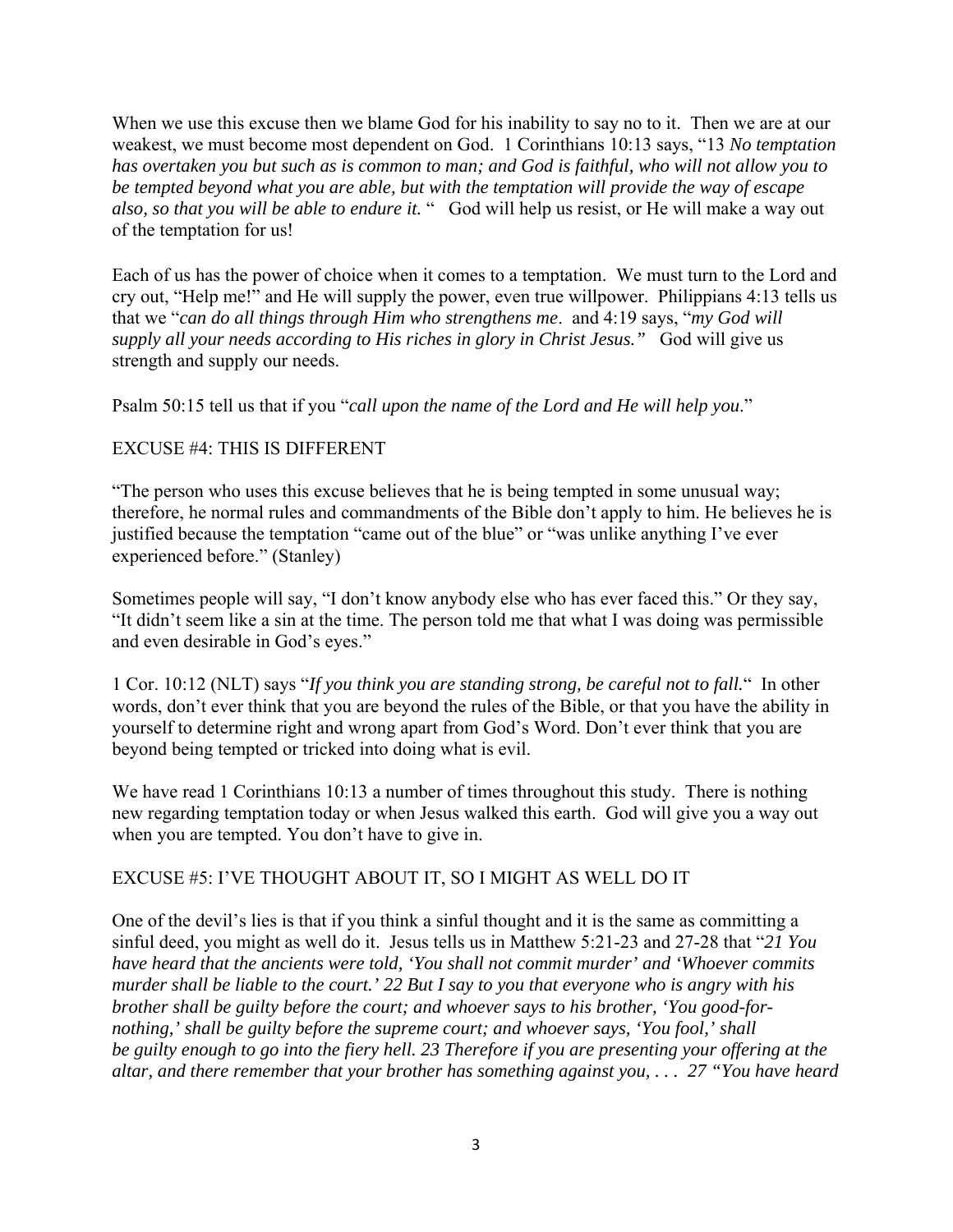When we use this excuse then we blame God for his inability to say no to it. Then we are at our weakest, we must become most dependent on God. 1 Corinthians 10:13 says, "13 *No temptation has overtaken you but such as is common to man; and God is faithful, who will not allow you to be tempted beyond what you are able, but with the temptation will provide the way of escape also, so that you will be able to endure it.* " God will help us resist, or He will make a way out of the temptation for us!

Each of us has the power of choice when it comes to a temptation. We must turn to the Lord and cry out, "Help me!" and He will supply the power, even true willpower. Philippians 4:13 tells us that we "*can do all things through Him who strengthens me*. and 4:19 says, "*my God will supply all your needs according to His riches in glory in Christ Jesus.*" God will give us strength and supply our needs.

Psalm 50:15 tell us that if you "*call upon the name of the Lord and He will help you*."

# EXCUSE #4: THIS IS DIFFERENT

"The person who uses this excuse believes that he is being tempted in some unusual way; therefore, he normal rules and commandments of the Bible don't apply to him. He believes he is justified because the temptation "came out of the blue" or "was unlike anything I've ever experienced before." (Stanley)

Sometimes people will say, "I don't know anybody else who has ever faced this." Or they say, "It didn't seem like a sin at the time. The person told me that what I was doing was permissible and even desirable in God's eyes."

1 Cor. 10:12 (NLT) says "*If you think you are standing strong, be careful not to fall.*" In other words, don't ever think that you are beyond the rules of the Bible, or that you have the ability in yourself to determine right and wrong apart from God's Word. Don't ever think that you are beyond being tempted or tricked into doing what is evil.

We have read 1 Corinthians 10:13 a number of times throughout this study. There is nothing new regarding temptation today or when Jesus walked this earth. God will give you a way out when you are tempted. You don't have to give in.

# EXCUSE #5: I'VE THOUGHT ABOUT IT, SO I MIGHT AS WELL DO IT

One of the devil's lies is that if you think a sinful thought and it is the same as committing a sinful deed, you might as well do it. Jesus tells us in Matthew 5:21-23 and 27-28 that "*21 You have heard that the ancients were told, 'You shall not commit murder' and 'Whoever commits murder shall be liable to the court.' 22 But I say to you that everyone who is angry with his brother shall be guilty before the court; and whoever says to his brother, 'You good-fornothing,' shall be guilty before the supreme court; and whoever says, 'You fool,' shall be guilty enough to go into the fiery hell. 23 Therefore if you are presenting your offering at the altar, and there remember that your brother has something against you, . . . 27 "You have heard*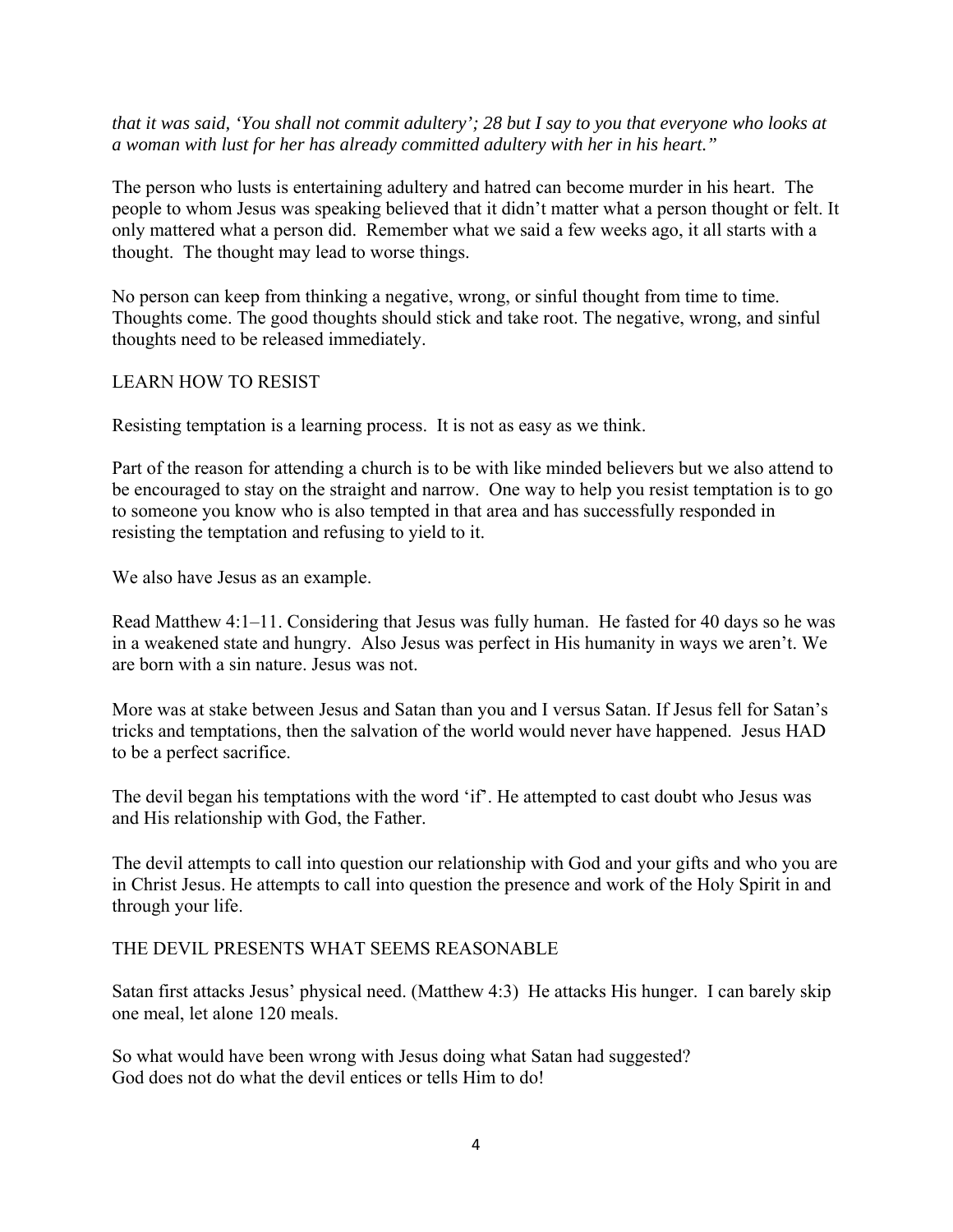*that it was said, 'You shall not commit adultery'; 28 but I say to you that everyone who looks at a woman with lust for her has already committed adultery with her in his heart."* 

The person who lusts is entertaining adultery and hatred can become murder in his heart. The people to whom Jesus was speaking believed that it didn't matter what a person thought or felt. It only mattered what a person did. Remember what we said a few weeks ago, it all starts with a thought. The thought may lead to worse things.

No person can keep from thinking a negative, wrong, or sinful thought from time to time. Thoughts come. The good thoughts should stick and take root. The negative, wrong, and sinful thoughts need to be released immediately.

### LEARN HOW TO RESIST

Resisting temptation is a learning process. It is not as easy as we think.

Part of the reason for attending a church is to be with like minded believers but we also attend to be encouraged to stay on the straight and narrow. One way to help you resist temptation is to go to someone you know who is also tempted in that area and has successfully responded in resisting the temptation and refusing to yield to it.

We also have Jesus as an example.

Read Matthew 4:1–11. Considering that Jesus was fully human. He fasted for 40 days so he was in a weakened state and hungry. Also Jesus was perfect in His humanity in ways we aren't. We are born with a sin nature. Jesus was not.

More was at stake between Jesus and Satan than you and I versus Satan. If Jesus fell for Satan's tricks and temptations, then the salvation of the world would never have happened. Jesus HAD to be a perfect sacrifice.

The devil began his temptations with the word 'if'. He attempted to cast doubt who Jesus was and His relationship with God, the Father.

The devil attempts to call into question our relationship with God and your gifts and who you are in Christ Jesus. He attempts to call into question the presence and work of the Holy Spirit in and through your life.

# THE DEVIL PRESENTS WHAT SEEMS REASONABLE

Satan first attacks Jesus' physical need. (Matthew 4:3) He attacks His hunger. I can barely skip one meal, let alone 120 meals.

So what would have been wrong with Jesus doing what Satan had suggested? God does not do what the devil entices or tells Him to do!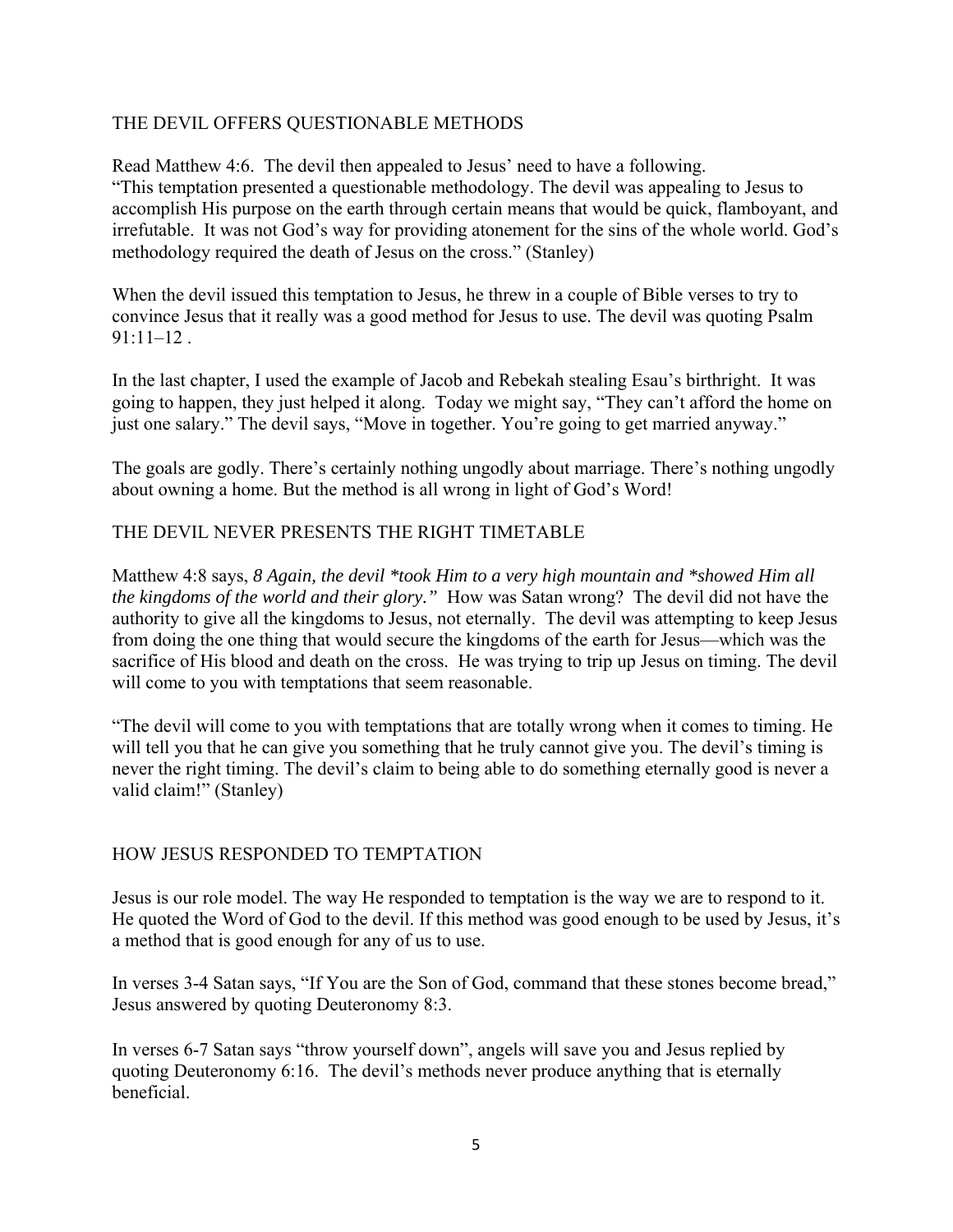### THE DEVIL OFFERS QUESTIONABLE METHODS

Read Matthew 4:6. The devil then appealed to Jesus' need to have a following. "This temptation presented a questionable methodology. The devil was appealing to Jesus to accomplish His purpose on the earth through certain means that would be quick, flamboyant, and irrefutable. It was not God's way for providing atonement for the sins of the whole world. God's methodology required the death of Jesus on the cross." (Stanley)

When the devil issued this temptation to Jesus, he threw in a couple of Bible verses to try to convince Jesus that it really was a good method for Jesus to use. The devil was quoting Psalm  $91:11-12$ 

In the last chapter, I used the example of Jacob and Rebekah stealing Esau's birthright. It was going to happen, they just helped it along. Today we might say, "They can't afford the home on just one salary." The devil says, "Move in together. You're going to get married anyway."

The goals are godly. There's certainly nothing ungodly about marriage. There's nothing ungodly about owning a home. But the method is all wrong in light of God's Word!

### THE DEVIL NEVER PRESENTS THE RIGHT TIMETABLE

Matthew 4:8 says, *8 Again, the devil \*took Him to a very high mountain and \*showed Him all the kingdoms of the world and their glory."* How was Satan wrong? The devil did not have the authority to give all the kingdoms to Jesus, not eternally. The devil was attempting to keep Jesus from doing the one thing that would secure the kingdoms of the earth for Jesus—which was the sacrifice of His blood and death on the cross. He was trying to trip up Jesus on timing. The devil will come to you with temptations that seem reasonable.

"The devil will come to you with temptations that are totally wrong when it comes to timing. He will tell you that he can give you something that he truly cannot give you. The devil's timing is never the right timing. The devil's claim to being able to do something eternally good is never a valid claim!" (Stanley)

# HOW JESUS RESPONDED TO TEMPTATION

Jesus is our role model. The way He responded to temptation is the way we are to respond to it. He quoted the Word of God to the devil. If this method was good enough to be used by Jesus, it's a method that is good enough for any of us to use.

In verses 3-4 Satan says, "If You are the Son of God, command that these stones become bread," Jesus answered by quoting Deuteronomy 8:3.

In verses 6-7 Satan says "throw yourself down", angels will save you and Jesus replied by quoting Deuteronomy 6:16. The devil's methods never produce anything that is eternally beneficial.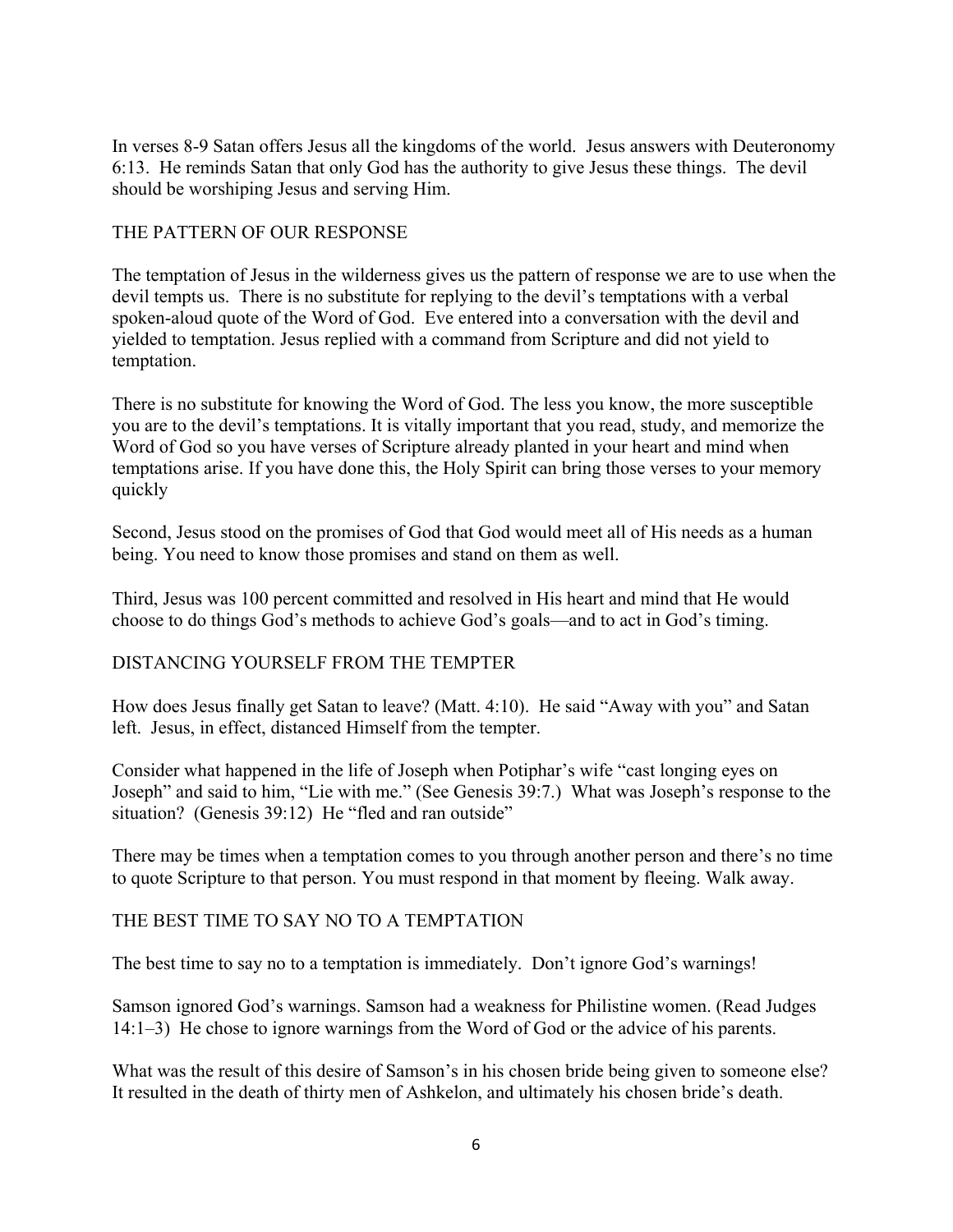In verses 8-9 Satan offers Jesus all the kingdoms of the world. Jesus answers with Deuteronomy 6:13. He reminds Satan that only God has the authority to give Jesus these things. The devil should be worshiping Jesus and serving Him.

#### THE PATTERN OF OUR RESPONSE

The temptation of Jesus in the wilderness gives us the pattern of response we are to use when the devil tempts us. There is no substitute for replying to the devil's temptations with a verbal spoken-aloud quote of the Word of God. Eve entered into a conversation with the devil and yielded to temptation. Jesus replied with a command from Scripture and did not yield to temptation.

There is no substitute for knowing the Word of God. The less you know, the more susceptible you are to the devil's temptations. It is vitally important that you read, study, and memorize the Word of God so you have verses of Scripture already planted in your heart and mind when temptations arise. If you have done this, the Holy Spirit can bring those verses to your memory quickly

Second, Jesus stood on the promises of God that God would meet all of His needs as a human being. You need to know those promises and stand on them as well.

Third, Jesus was 100 percent committed and resolved in His heart and mind that He would choose to do things God's methods to achieve God's goals—and to act in God's timing.

#### DISTANCING YOURSELF FROM THE TEMPTER

How does Jesus finally get Satan to leave? (Matt. 4:10). He said "Away with you" and Satan left. Jesus, in effect, distanced Himself from the tempter.

Consider what happened in the life of Joseph when Potiphar's wife "cast longing eyes on Joseph" and said to him, "Lie with me." (See Genesis 39:7.) What was Joseph's response to the situation? (Genesis 39:12) He "fled and ran outside"

There may be times when a temptation comes to you through another person and there's no time to quote Scripture to that person. You must respond in that moment by fleeing. Walk away.

#### THE BEST TIME TO SAY NO TO A TEMPTATION

The best time to say no to a temptation is immediately. Don't ignore God's warnings!

Samson ignored God's warnings. Samson had a weakness for Philistine women. (Read Judges 14:1–3) He chose to ignore warnings from the Word of God or the advice of his parents.

What was the result of this desire of Samson's in his chosen bride being given to someone else? It resulted in the death of thirty men of Ashkelon, and ultimately his chosen bride's death.